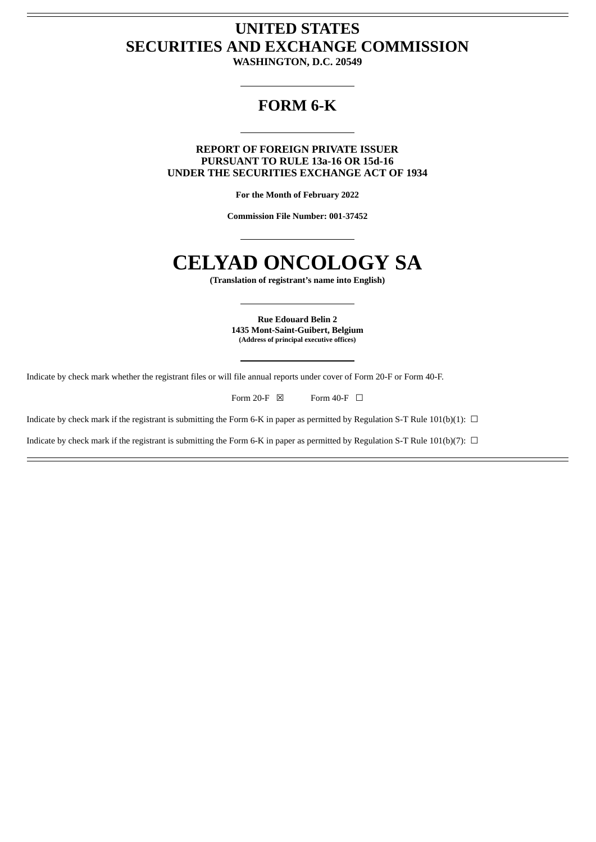# **UNITED STATES SECURITIES AND EXCHANGE COMMISSION**

**WASHINGTON, D.C. 20549**

# **FORM 6-K**

**REPORT OF FOREIGN PRIVATE ISSUER PURSUANT TO RULE 13a-16 OR 15d-16 UNDER THE SECURITIES EXCHANGE ACT OF 1934**

**For the Month of February 2022**

**Commission File Number: 001-37452**

# **CELYAD ONCOLOGY SA**

**(Translation of registrant's name into English)**

**Rue Edouard Belin 2 1435 Mont-Saint-Guibert, Belgium (Address of principal executive offices)**

Indicate by check mark whether the registrant files or will file annual reports under cover of Form 20-F or Form 40-F.

Form 20-F  $\boxtimes$  Form 40-F  $\Box$ 

Indicate by check mark if the registrant is submitting the Form 6-K in paper as permitted by Regulation S-T Rule 101(b)(1):  $\Box$ 

Indicate by check mark if the registrant is submitting the Form 6-K in paper as permitted by Regulation S-T Rule 101(b)(7):  $\Box$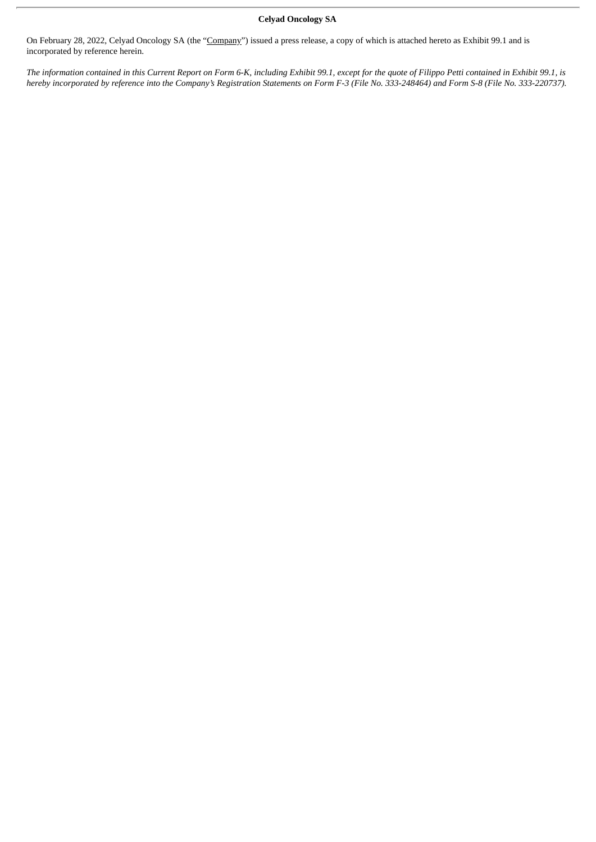# **Celyad Oncology SA**

On February 28, 2022, Celyad Oncology SA (the "Company") issued a press release, a copy of which is attached hereto as Exhibit 99.1 and is incorporated by reference herein.

The information contained in this Current Report on Form 6-K, including Exhibit 99.1, except for the quote of Filippo Petti contained in Exhibit 99.1, is hereby incorporated by reference into the Company's Registration Statements on Form F-3 (File No. 333-248464) and Form S-8 (File No. 333-220737).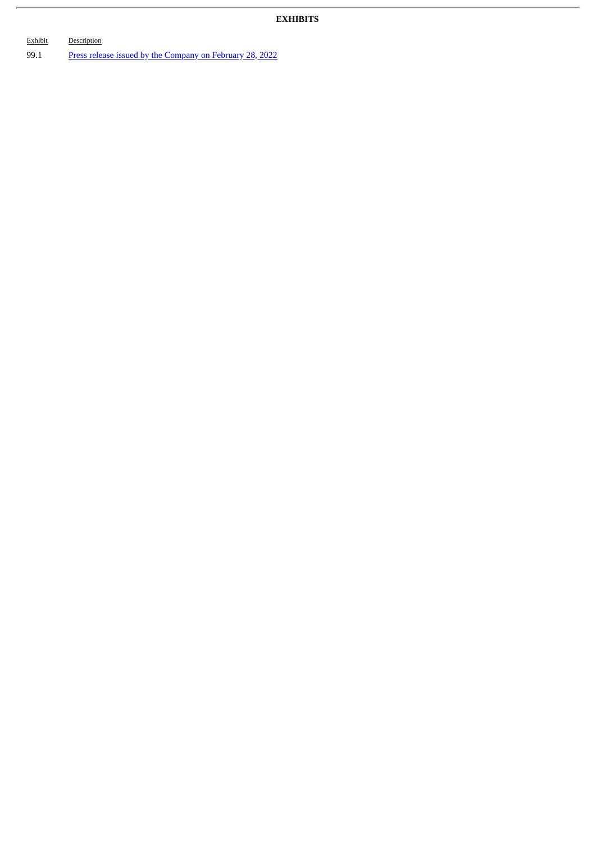# **EXHIBITS**

| Exhibit | Description                                              |
|---------|----------------------------------------------------------|
| 99.1    | Press release issued by the Company on February 28, 2022 |

ł,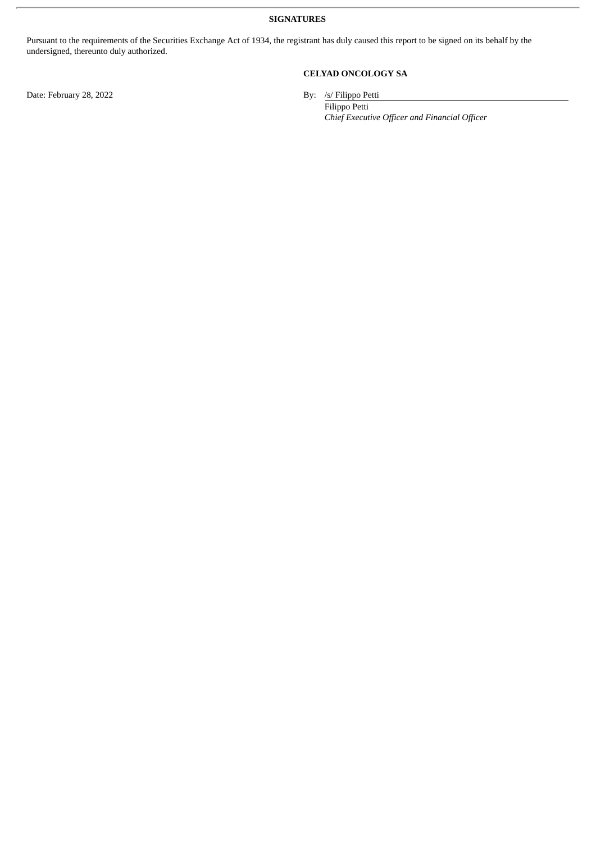**SIGNATURES**

Pursuant to the requirements of the Securities Exchange Act of 1934, the registrant has duly caused this report to be signed on its behalf by the undersigned, thereunto duly authorized.

**CELYAD ONCOLOGY SA**

By: /s/ Filippo Petti<br>Filippo Petti

*Chief Executive Officer and Financial Officer*

Date: February 28, 2022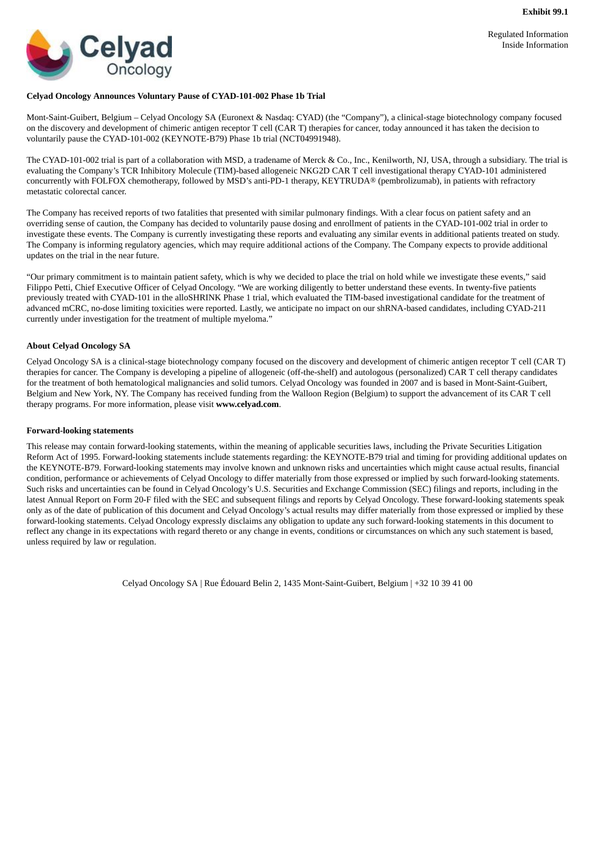Regulated Information Inside Information

<span id="page-4-0"></span>

## **Celyad Oncology Announces Voluntary Pause of CYAD-101-002 Phase 1b Trial**

Mont-Saint-Guibert, Belgium – Celyad Oncology SA (Euronext & Nasdaq: CYAD) (the "Company"), a clinical-stage biotechnology company focused on the discovery and development of chimeric antigen receptor T cell (CAR T) therapies for cancer, today announced it has taken the decision to voluntarily pause the CYAD-101-002 (KEYNOTE-B79) Phase 1b trial (NCT04991948).

The CYAD-101-002 trial is part of a collaboration with MSD, a tradename of Merck & Co., Inc., Kenilworth, NJ, USA, through a subsidiary. The trial is evaluating the Company's TCR Inhibitory Molecule (TIM)-based allogeneic NKG2D CAR T cell investigational therapy CYAD-101 administered concurrently with FOLFOX chemotherapy, followed by MSD's anti-PD-1 therapy, KEYTRUDA® (pembrolizumab), in patients with refractory metastatic colorectal cancer.

The Company has received reports of two fatalities that presented with similar pulmonary findings. With a clear focus on patient safety and an overriding sense of caution, the Company has decided to voluntarily pause dosing and enrollment of patients in the CYAD-101-002 trial in order to investigate these events. The Company is currently investigating these reports and evaluating any similar events in additional patients treated on study. The Company is informing regulatory agencies, which may require additional actions of the Company. The Company expects to provide additional updates on the trial in the near future.

"Our primary commitment is to maintain patient safety, which is why we decided to place the trial on hold while we investigate these events," said Filippo Petti, Chief Executive Officer of Celyad Oncology. "We are working diligently to better understand these events. In twenty-five patients previously treated with CYAD-101 in the alloSHRINK Phase 1 trial, which evaluated the TIM-based investigational candidate for the treatment of advanced mCRC, no-dose limiting toxicities were reported. Lastly, we anticipate no impact on our shRNA-based candidates, including CYAD-211 currently under investigation for the treatment of multiple myeloma."

### **About Celyad Oncology SA**

Celyad Oncology SA is a clinical-stage biotechnology company focused on the discovery and development of chimeric antigen receptor T cell (CAR T) therapies for cancer. The Company is developing a pipeline of allogeneic (off-the-shelf) and autologous (personalized) CAR T cell therapy candidates for the treatment of both hematological malignancies and solid tumors. Celyad Oncology was founded in 2007 and is based in Mont-Saint-Guibert, Belgium and New York, NY. The Company has received funding from the Walloon Region (Belgium) to support the advancement of its CAR T cell therapy programs. For more information, please visit **www.celyad.com**.

### **Forward-looking statements**

This release may contain forward-looking statements, within the meaning of applicable securities laws, including the Private Securities Litigation Reform Act of 1995. Forward-looking statements include statements regarding: the KEYNOTE-B79 trial and timing for providing additional updates on the KEYNOTE-B79. Forward-looking statements may involve known and unknown risks and uncertainties which might cause actual results, financial condition, performance or achievements of Celyad Oncology to differ materially from those expressed or implied by such forward-looking statements. Such risks and uncertainties can be found in Celyad Oncology's U.S. Securities and Exchange Commission (SEC) filings and reports, including in the latest Annual Report on Form 20-F filed with the SEC and subsequent filings and reports by Celyad Oncology. These forward-looking statements speak only as of the date of publication of this document and Celyad Oncology's actual results may differ materially from those expressed or implied by these forward-looking statements. Celyad Oncology expressly disclaims any obligation to update any such forward-looking statements in this document to reflect any change in its expectations with regard thereto or any change in events, conditions or circumstances on which any such statement is based, unless required by law or regulation.

Celyad Oncology SA | Rue Édouard Belin 2, 1435 Mont-Saint-Guibert, Belgium | +32 10 39 41 00